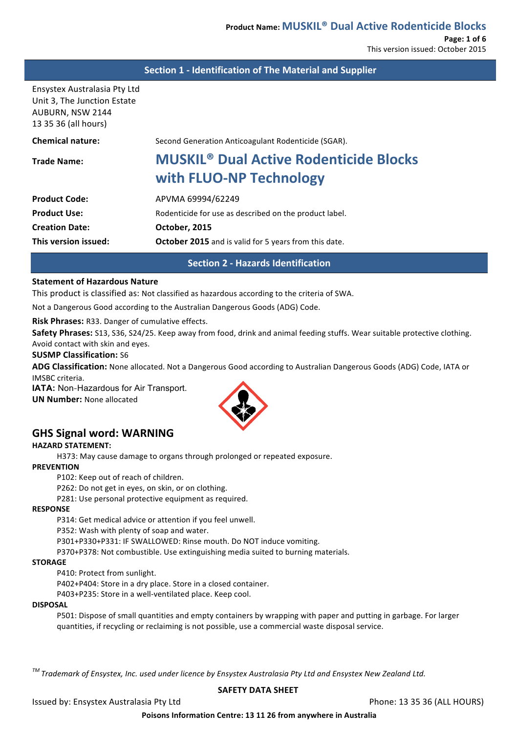## **Section 1 - Identification of The Material and Supplier**

Ensystex Australasia Pty Ltd Unit 3, The Junction Estate AUBURN, NSW 2144 13 35 36 (all hours)

| <b>Chemical nature:</b> | Second Generation Anticoagulant Rodenticide (SGAR).                                 |
|-------------------------|-------------------------------------------------------------------------------------|
| <b>Trade Name:</b>      | <b>MUSKIL<sup>®</sup> Dual Active Rodenticide Blocks</b><br>with FLUO-NP Technology |
| <b>Product Code:</b>    | APVMA 69994/62249                                                                   |
| <b>Product Use:</b>     | Rodenticide for use as described on the product label.                              |
| <b>Creation Date:</b>   | October, 2015                                                                       |
| This version issued:    | October 2015 and is valid for 5 years from this date.                               |

# **Section 2 - Hazards Identification**

#### **Statement of Hazardous Nature**

This product is classified as: Not classified as hazardous according to the criteria of SWA.

Not a Dangerous Good according to the Australian Dangerous Goods (ADG) Code.

**Risk Phrases:** R33. Danger of cumulative effects.

**Safety Phrases:** S13, S36, S24/25. Keep away from food, drink and animal feeding stuffs. Wear suitable protective clothing. Avoid contact with skin and eyes.

#### **SUSMP Classification:** S6

ADG Classification: None allocated. Not a Dangerous Good according to Australian Dangerous Goods (ADG) Code, IATA or IMSBC criteria.

**IATA: Non-Hazardous for Air Transport.** 

**UN Number:** None allocated



# **GHS Signal word: WARNING**

#### **HAZARD STATEMENT:**

H373: May cause damage to organs through prolonged or repeated exposure.

#### **PREVENTION**

- P102: Keep out of reach of children.
- P262: Do not get in eyes, on skin, or on clothing.
- P281: Use personal protective equipment as required.

## **RESPONSE**

P314: Get medical advice or attention if you feel unwell.

P352: Wash with plenty of soap and water.

P301+P330+P331: IF SWALLOWED: Rinse mouth. Do NOT induce vomiting.

P370+P378: Not combustible. Use extinguishing media suited to burning materials.

## **STORAGE**

P410: Protect from sunlight.

P402+P404: Store in a dry place. Store in a closed container.

P403+P235: Store in a well-ventilated place. Keep cool.

#### **DISPOSAL**

P501: Dispose of small quantities and empty containers by wrapping with paper and putting in garbage. For larger quantities, if recycling or reclaiming is not possible, use a commercial waste disposal service.

*TM Trademark of Ensystex, Inc. used under licence by Ensystex Australasia Pty Ltd and Ensystex New Zealand Ltd.*

## **SAFETY DATA SHEET**

Issued by: Ensystex Australasia Pty Ltd **Community Community Community Phone:** 13 35 36 (ALL HOURS)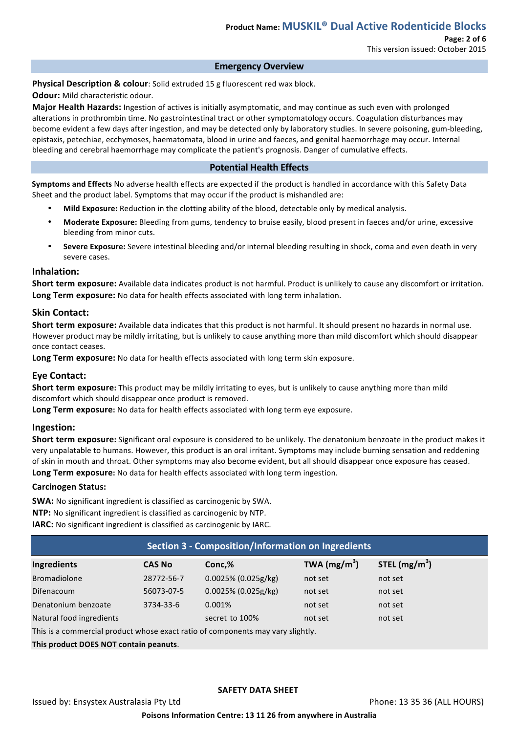# **Emergency Overview**

## **Physical Description & colour:** Solid extruded 15 g fluorescent red wax block.

**Odour:** Mild characteristic odour.

**Major Health Hazards:** Ingestion of actives is initially asymptomatic, and may continue as such even with prolonged alterations in prothrombin time. No gastrointestinal tract or other symptomatology occurs. Coagulation disturbances may become evident a few days after ingestion, and may be detected only by laboratory studies. In severe poisoning, gum-bleeding, epistaxis, petechiae, ecchymoses, haematomata, blood in urine and faeces, and genital haemorrhage may occur. Internal bleeding and cerebral haemorrhage may complicate the patient's prognosis. Danger of cumulative effects.

## **Potential Health Effects**

**Symptoms and Effects** No adverse health effects are expected if the product is handled in accordance with this Safety Data Sheet and the product label. Symptoms that may occur if the product is mishandled are:

- Mild Exposure: Reduction in the clotting ability of the blood, detectable only by medical analysis.
- Moderate Exposure: Bleeding from gums, tendency to bruise easily, blood present in faeces and/or urine, excessive bleeding from minor cuts.
- Severe Exposure: Severe intestinal bleeding and/or internal bleeding resulting in shock, coma and even death in very severe cases.

## **Inhalation:**

**Short term exposure:** Available data indicates product is not harmful. Product is unlikely to cause any discomfort or irritation. **Long Term exposure:** No data for health effects associated with long term inhalation.

## **Skin Contact:**

**Short term exposure:** Available data indicates that this product is not harmful. It should present no hazards in normal use. However product may be mildly irritating, but is unlikely to cause anything more than mild discomfort which should disappear once contact ceases. 

**Long Term exposure:** No data for health effects associated with long term skin exposure.

## **Eye Contact:**

**Short term exposure:** This product may be mildly irritating to eyes, but is unlikely to cause anything more than mild discomfort which should disappear once product is removed.

**Long Term exposure:** No data for health effects associated with long term eye exposure.

## **Ingestion:**

**Short term exposure:** Significant oral exposure is considered to be unlikely. The denatonium benzoate in the product makes it very unpalatable to humans. However, this product is an oral irritant. Symptoms may include burning sensation and reddening of skin in mouth and throat. Other symptoms may also become evident, but all should disappear once exposure has ceased. Long Term exposure: No data for health effects associated with long term ingestion.

## **Carcinogen Status:**

**SWA:** No significant ingredient is classified as carcinogenic by SWA.

**NTP:** No significant ingredient is classified as carcinogenic by NTP.

**IARC:** No significant ingredient is classified as carcinogenic by IARC.

| Section 3 - Composition/Information on Ingredients                              |               |                        |                |                 |
|---------------------------------------------------------------------------------|---------------|------------------------|----------------|-----------------|
| Ingredients                                                                     | <b>CAS No</b> | Conc,%                 | TWA $(mg/m^3)$ | STEL $(mg/m^3)$ |
| Bromadiolone                                                                    | 28772-56-7    | $0.0025\%$ (0.025g/kg) | not set        | not set         |
| <b>Difenacoum</b>                                                               | 56073-07-5    | $0.0025\%$ (0.025g/kg) | not set        | not set         |
| Denatonium benzoate                                                             | 3734-33-6     | 0.001%                 | not set        | not set         |
| Natural food ingredients                                                        |               | secret to 100%         | not set        | not set         |
| This is a commercial product whose exact ratio of components may vary slightly. |               |                        |                |                 |
|                                                                                 |               |                        |                |                 |

This product DOES NOT contain peanuts.

## **SAFETY DATA SHEET**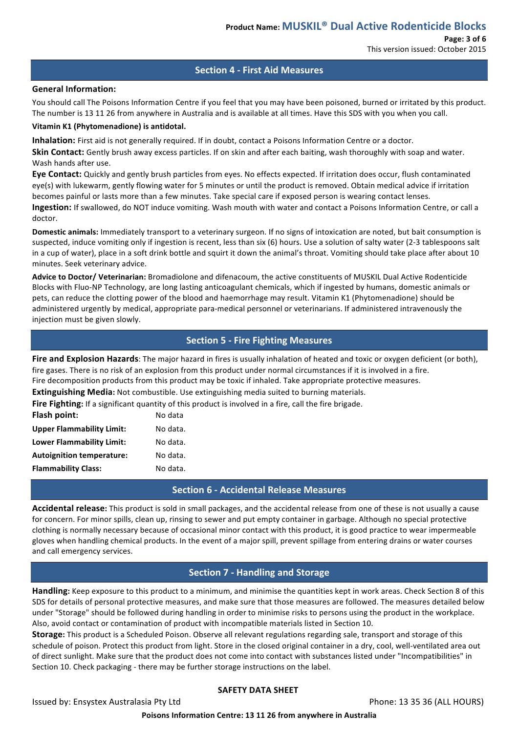# **Section 4 - First Aid Measures**

## **General Information:**

You should call The Poisons Information Centre if you feel that you may have been poisoned, burned or irritated by this product. The number is 13 11 26 from anywhere in Australia and is available at all times. Have this SDS with you when you call.

## **Vitamin K1 (Phytomenadione) is antidotal.**

**Inhalation:** First aid is not generally required. If in doubt, contact a Poisons Information Centre or a doctor.

**Skin Contact:** Gently brush away excess particles. If on skin and after each baiting, wash thoroughly with soap and water. Wash hands after use.

**Eye Contact:** Quickly and gently brush particles from eyes. No effects expected. If irritation does occur, flush contaminated eye(s) with lukewarm, gently flowing water for 5 minutes or until the product is removed. Obtain medical advice if irritation becomes painful or lasts more than a few minutes. Take special care if exposed person is wearing contact lenses. **Ingestion:** If swallowed, do NOT induce vomiting. Wash mouth with water and contact a Poisons Information Centre, or call a doctor.

**Domestic animals:** Immediately transport to a veterinary surgeon. If no signs of intoxication are noted, but bait consumption is suspected, induce vomiting only if ingestion is recent, less than six (6) hours. Use a solution of salty water (2-3 tablespoons salt in a cup of water), place in a soft drink bottle and squirt it down the animal's throat. Vomiting should take place after about 10 minutes. Seek veterinary advice.

Advice to Doctor/ Veterinarian: Bromadiolone and difenacoum, the active constituents of MUSKIL Dual Active Rodenticide Blocks with Fluo-NP Technology, are long lasting anticoagulant chemicals, which if ingested by humans, domestic animals or pets, can reduce the clotting power of the blood and haemorrhage may result. Vitamin K1 (Phytomenadione) should be administered urgently by medical, appropriate para-medical personnel or veterinarians. If administered intravenously the injection must be given slowly.

# **Section 5 - Fire Fighting Measures**

**Fire and Explosion Hazards**: The major hazard in fires is usually inhalation of heated and toxic or oxygen deficient (or both), fire gases. There is no risk of an explosion from this product under normal circumstances if it is involved in a fire. Fire decomposition products from this product may be toxic if inhaled. Take appropriate protective measures.

**Extinguishing Media:** Not combustible. Use extinguishing media suited to burning materials.

Fire Fighting: If a significant quantity of this product is involved in a fire, call the fire brigade.

| Flash point:                     | No data  |
|----------------------------------|----------|
| <b>Upper Flammability Limit:</b> | No data. |
| <b>Lower Flammability Limit:</b> | No data. |
| <b>Autoignition temperature:</b> | No data. |
| <b>Flammability Class:</b>       | No data. |

## **Section 6 - Accidental Release Measures**

Accidental release: This product is sold in small packages, and the accidental release from one of these is not usually a cause for concern. For minor spills, clean up, rinsing to sewer and put empty container in garbage. Although no special protective clothing is normally necessary because of occasional minor contact with this product, it is good practice to wear impermeable gloves when handling chemical products. In the event of a major spill, prevent spillage from entering drains or water courses and call emergency services.

# **Section 7 - Handling and Storage**

Handling: Keep exposure to this product to a minimum, and minimise the quantities kept in work areas. Check Section 8 of this SDS for details of personal protective measures, and make sure that those measures are followed. The measures detailed below under "Storage" should be followed during handling in order to minimise risks to persons using the product in the workplace. Also, avoid contact or contamination of product with incompatible materials listed in Section 10.

**Storage:** This product is a Scheduled Poison. Observe all relevant regulations regarding sale, transport and storage of this schedule of poison. Protect this product from light. Store in the closed original container in a dry, cool, well-ventilated area out of direct sunlight. Make sure that the product does not come into contact with substances listed under "Incompatibilities" in Section 10. Check packaging - there may be further storage instructions on the label.

## **SAFETY DATA SHEET**

Issued by: Ensystex Australasia Pty Ltd **Community Community Community Phone:** 13 35 36 (ALL HOURS)

Poisons Information Centre: 13 11 26 from anywhere in Australia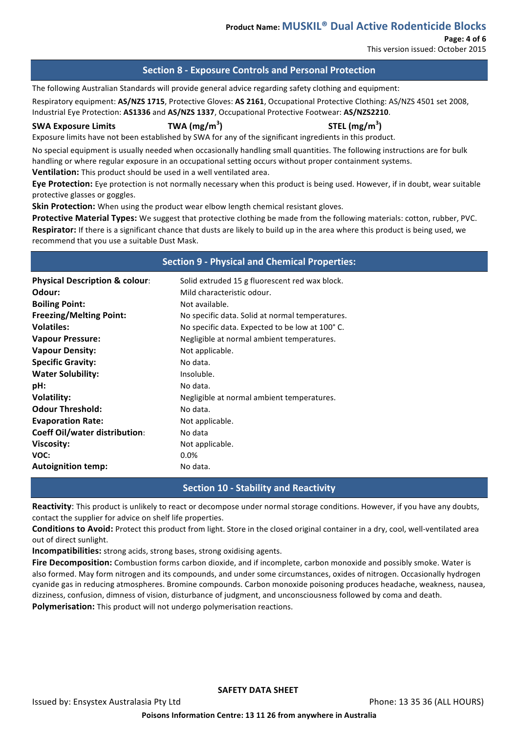**Page: 4 of 6** This version issued: October 2015

# **Section 8 - Exposure Controls and Personal Protection**

The following Australian Standards will provide general advice regarding safety clothing and equipment:

Respiratory equipment: **AS/NZS 1715**, Protective Gloves: **AS 2161**, Occupational Protective Clothing: AS/NZS 4501 set 2008, Industrial Eye Protection: **AS1336** and **AS/NZS 1337**, Occupational Protective Footwear: **AS/NZS2210**.

**SWA Exposure Limits TWA** (mg/m<sup>3</sup>)

**) STEL (mg/m<sup>3</sup> )**

Exposure limits have not been established by SWA for any of the significant ingredients in this product.

No special equipment is usually needed when occasionally handling small quantities. The following instructions are for bulk handling or where regular exposure in an occupational setting occurs without proper containment systems.

**Ventilation:** This product should be used in a well ventilated area.

Eye Protection: Eye protection is not normally necessary when this product is being used. However, if in doubt, wear suitable protective glasses or goggles.

**Skin Protection:** When using the product wear elbow length chemical resistant gloves.

**Protective Material Types:** We suggest that protective clothing be made from the following materials: cotton, rubber, PVC. **Respirator:** If there is a significant chance that dusts are likely to build up in the area where this product is being used, we recommend that you use a suitable Dust Mask.

# **Section 9 - Physical and Chemical Properties:**

| <b>Physical Description &amp; colour:</b> | Solid extruded 15 g fluorescent red wax block.  |
|-------------------------------------------|-------------------------------------------------|
| Odour:                                    | Mild characteristic odour.                      |
| <b>Boiling Point:</b>                     | Not available.                                  |
| <b>Freezing/Melting Point:</b>            | No specific data. Solid at normal temperatures. |
| <b>Volatiles:</b>                         | No specific data. Expected to be low at 100°C.  |
| <b>Vapour Pressure:</b>                   | Negligible at normal ambient temperatures.      |
| <b>Vapour Density:</b>                    | Not applicable.                                 |
| <b>Specific Gravity:</b>                  | No data.                                        |
| <b>Water Solubility:</b>                  | Insoluble.                                      |
| pH:                                       | No data.                                        |
| Volatility:                               | Negligible at normal ambient temperatures.      |
| <b>Odour Threshold:</b>                   | No data.                                        |
| <b>Evaporation Rate:</b>                  | Not applicable.                                 |
| <b>Coeff Oil/water distribution:</b>      | No data                                         |
| Viscosity:                                | Not applicable.                                 |
| VOC:                                      | $0.0\%$                                         |
| <b>Autoignition temp:</b>                 | No data.                                        |

# **Section 10 - Stability and Reactivity**

Reactivity: This product is unlikely to react or decompose under normal storage conditions. However, if you have any doubts, contact the supplier for advice on shelf life properties.

**Conditions to Avoid:** Protect this product from light. Store in the closed original container in a dry, cool, well-ventilated area out of direct sunlight.

**Incompatibilities:** strong acids, strong bases, strong oxidising agents.

Fire Decomposition: Combustion forms carbon dioxide, and if incomplete, carbon monoxide and possibly smoke. Water is also formed. May form nitrogen and its compounds, and under some circumstances, oxides of nitrogen. Occasionally hydrogen cyanide gas in reducing atmospheres. Bromine compounds. Carbon monoxide poisoning produces headache, weakness, nausea, dizziness, confusion, dimness of vision, disturbance of judgment, and unconsciousness followed by coma and death.

**Polymerisation:** This product will not undergo polymerisation reactions.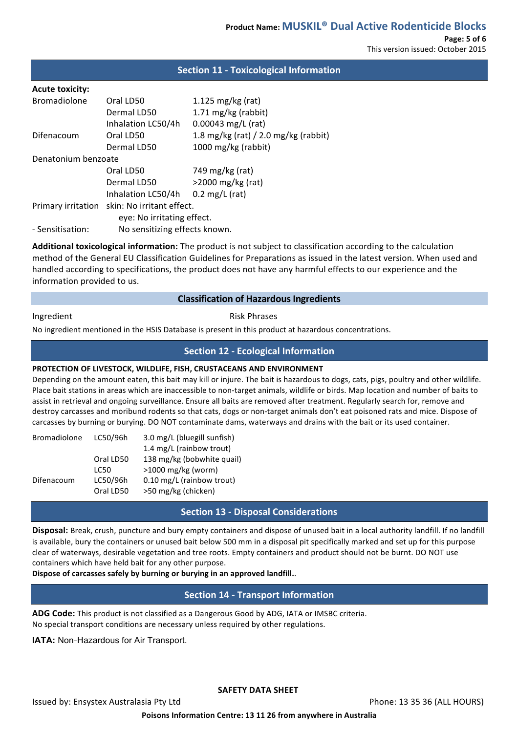## **Section 11 - Toxicological Information**

## **Acute toxicity:**

| <b>Bromadiolone</b> | Oral LD50                                    | 1.125 mg/kg (rat)                    |  |
|---------------------|----------------------------------------------|--------------------------------------|--|
|                     | Dermal LD50                                  | 1.71 $mg/kg$ (rabbit)                |  |
|                     | Inhalation LC50/4h                           | $0.00043$ mg/L (rat)                 |  |
| Difenacoum          | Oral LD50                                    | 1.8 mg/kg (rat) / 2.0 mg/kg (rabbit) |  |
|                     | Dermal LD50                                  | 1000 mg/kg (rabbit)                  |  |
| Denatonium benzoate |                                              |                                      |  |
|                     | Oral LD50                                    | 749 mg/kg (rat)                      |  |
|                     | Dermal LD50                                  | $>$ 2000 mg/kg (rat)                 |  |
|                     | Inhalation LC50/4h                           | $0.2 \text{ mg/L}$ (rat)             |  |
|                     | Primary irritation skin: No irritant effect. |                                      |  |
|                     | eye: No irritating effect.                   |                                      |  |
| - Sensitisation:    | No sensitizing effects known.                |                                      |  |

**Additional toxicological information:** The product is not subject to classification according to the calculation method of the General EU Classification Guidelines for Preparations as issued in the latest version. When used and handled according to specifications, the product does not have any harmful effects to our experience and the information provided to us.

## **Classification of Hazardous Ingredients**

Ingredient **Risk Phrases** 

No ingredient mentioned in the HSIS Database is present in this product at hazardous concentrations.

# **Section 12 - Ecological Information**

## **PROTECTION OF LIVESTOCK, WILDLIFE, FISH, CRUSTACEANS AND ENVIRONMENT**

Depending on the amount eaten, this bait may kill or injure. The bait is hazardous to dogs, cats, pigs, poultry and other wildlife. Place bait stations in areas which are inaccessible to non-target animals, wildlife or birds. Map location and number of baits to assist in retrieval and ongoing surveillance. Ensure all baits are removed after treatment. Regularly search for, remove and destroy carcasses and moribund rodents so that cats, dogs or non-target animals don't eat poisoned rats and mice. Dispose of carcasses by burning or burying. DO NOT contaminate dams, waterways and drains with the bait or its used container.

| <b>Bromadiolone</b> | LC50/96h  | 3.0 mg/L (bluegill sunfish) |
|---------------------|-----------|-----------------------------|
|                     |           | 1.4 mg/L (rainbow trout)    |
|                     | Oral LD50 | 138 mg/kg (bobwhite quail)  |
|                     | LC50      | $>1000$ mg/kg (worm)        |
| Difenacoum          | LC50/96h  | 0.10 mg/L (rainbow trout)   |
|                     | Oral LD50 | >50 mg/kg (chicken)         |
|                     |           |                             |

## **Section 13 - Disposal Considerations**

**Disposal:** Break, crush, puncture and bury empty containers and dispose of unused bait in a local authority landfill. If no landfill is available, bury the containers or unused bait below 500 mm in a disposal pit specifically marked and set up for this purpose clear of waterways, desirable vegetation and tree roots. Empty containers and product should not be burnt. DO NOT use containers which have held bait for any other purpose.

Dispose of carcasses safely by burning or burying in an approved landfill..

## **Section 14 - Transport Information**

ADG Code: This product is not classified as a Dangerous Good by ADG, IATA or IMSBC criteria. No special transport conditions are necessary unless required by other regulations.

**IATA: Non-Hazardous for Air Transport.** 

## **SAFETY DATA SHEET**

Issued by: Ensystex Australasia Pty Ltd **Community Community Community Phone:** 13 35 36 (ALL HOURS)

Poisons Information Centre: 13 11 26 from anywhere in Australia